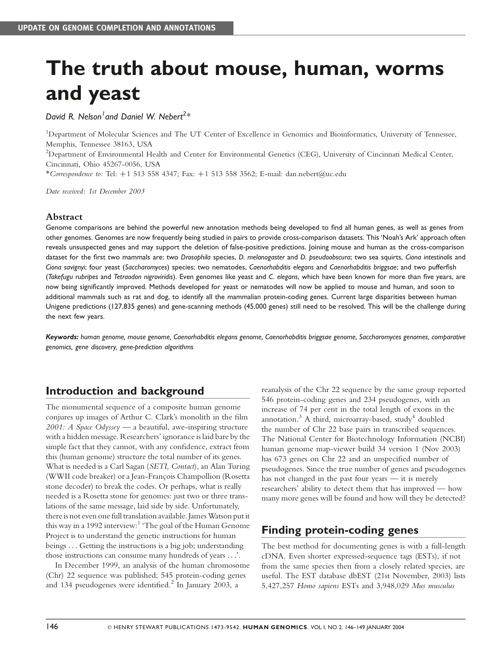# The truth about mouse, human, worms and yeast

David R. Nelson $^l$ and Daniel W. Nebert $^{2\ast}$ 

<sup>1</sup>Department of Molecular Sciences and The UT Center of Excellence in Genomics and Bioinformatics, University of Tennessee, Memphis, Tennessee 38163, USA

<sup>2</sup>Department of Environmental Health and Center for Environmental Genetics (CEG), University of Cincinnati Medical Center, Cincinnati, Ohio 45267-0056, USA

\*Correspondence to: Tel:  $+1$  513 558 4347; Fax:  $+1$  513 558 3562; E-mail: dan.nebert@uc.edu

Date received: 1st December 2003

#### Abstract

Genome comparisons are behind the powerful new annotation methods being developed to find all human genes, as well as genes from other genomes. Genomes are now frequently being studied in pairs to provide cross-comparison datasets. This 'Noah's Ark' approach often reveals unsuspected genes and may support the deletion of false-positive predictions. Joining mouse and human as the cross-comparison dataset for the first two mammals are: two Drosophila species, D. melanogaster and D. pseudoobscura; two sea squirts, Ciona intestinalis and Ciona savignyi; four yeast (Saccharomyces) species; two nematodes, Caenorhabditis elegans and Caenorhabditis briggsae; and two pufferfish (Takefugu rubripes and Tetraodon nigroviridis). Even genomes like yeast and C. elegans, which have been known for more than five years, are now being significantly improved. Methods developed for yeast or nematodes will now be applied to mouse and human, and soon to additional mammals such as rat and dog, to identify all the mammalian protein-coding genes. Current large disparities between human Unigene predictions (127,835 genes) and gene-scanning methods (45,000 genes) still need to be resolved. This will be the challenge during the next few years.

Keywords: human genome, mouse genome, Caenorhabditis elegans genome, Caenorhabditis briggsae genome, Saccharomyces genomes, comparative genomics, gene discovery, gene-prediction algorithms

# Introduction and background

The monumental sequence of a composite human genome conjures up images of Arthur C. Clark's monolith in the film 2001: A Space Odyssey  $-$  a beautiful, awe-inspiring structure with a hidden message. Researchers' ignorance is laid bare by the simple fact that they cannot, with any confidence, extract from this (human genome) structure the total number of its genes. What is needed is a Carl Sagan *(SETI, Contact)*, an Alan Turing (WWII code breaker) or a Jean-François Champollion (Rosetta stone decoder) to break the codes. Or perhaps, what is really needed is a Rosetta stone for genomes: just two or three translations of the same message, laid side by side. Unfortunately, there is not even one full translation available. James Watson put it this way in a 1992 interview:<sup>1</sup> 'The goal of the Human Genome Project is to understand the genetic instructions for human beings ... Getting the instructions is a big job; understanding those instructions can consume many hundreds of years ...'.

In December 1999, an analysis of the human chromosome (Chr) 22 sequence was published; 545 protein-coding genes and 134 pseudogenes were identified. $^{2}$  In January 2003, a

reanalysis of the Chr 22 sequence by the same group reported 546 protein-coding genes and 234 pseudogenes, with an increase of 74 per cent in the total length of exons in the annotation. $3$  A third, microarray-based, study<sup>4</sup> doubled the number of Chr 22 base pairs in transcribed sequences. The National Center for Biotechnology Information (NCBI) human genome map-viewer build 34 version 1 (Nov 2003) has 673 genes on Chr 22 and an unspecified number of pseudogenes. Since the true number of genes and pseudogenes has not changed in the past four years — it is merely researchers' ability to detect them that has improved — how many more genes will be found and how will they be detected?

# Finding protein-coding genes

The best method for documenting genes is with a full-length cDNA. Even shorter expressed-sequence tags (ESTs), if not from the same species then from a closely related species, are useful. The EST database dbEST (21st November, 2003) lists 5,427,257 Homo sapiens ESTs and 3,948,029 Mus musculus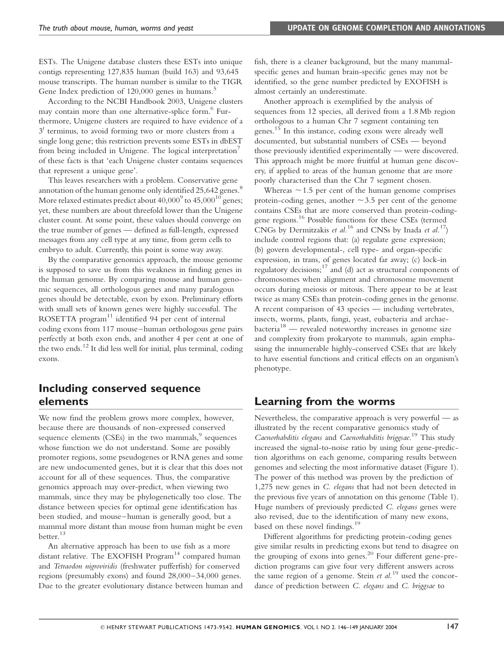ESTs. The Unigene database clusters these ESTs into unique contigs representing 127,835 human (build 163) and 93,645 mouse transcripts. The human number is similar to the TIGR Gene Index prediction of 120,000 genes in humans.<sup>5</sup>

According to the NCBI Handbook 2003, Unigene clusters may contain more than one alternative-splice form.<sup>6</sup> Furthermore, Unigene clusters are required to have evidence of a  $3'$  terminus, to avoid forming two or more clusters from a single long gene; this restriction prevents some ESTs in dbEST from being included in Unigene. The logical interpretation<sup>7</sup> of these facts is that 'each Unigene cluster contains sequences that represent a unique gene'.

This leaves researchers with a problem. Conservative gene annotation of the human genome only identified  $25,642$  genes.<sup>8</sup> More relaxed estimates predict about  $40,000^9$  to  $45,000^{10}$  genes; yet, these numbers are about threefold lower than the Unigene cluster count. At some point, these values should converge on the true number of genes — defined as full-length, expressed messages from any cell type at any time, from germ cells to embryo to adult. Currently, this point is some way away.

By the comparative genomics approach, the mouse genome is supposed to save us from this weakness in finding genes in the human genome. By comparing mouse and human genomic sequences, all orthologous genes and many paralogous genes should be detectable, exon by exon. Preliminary efforts with small sets of known genes were highly successful. The ROSETTA program<sup>11</sup> identified 94 per cent of internal coding exons from 117 mouse–human orthologous gene pairs perfectly at both exon ends, and another 4 per cent at one of the two ends.<sup>12</sup> It did less well for initial, plus terminal, coding exons.

### Including conserved sequence elements

We now find the problem grows more complex, however, because there are thousands of non-expressed conserved sequence elements (CSEs) in the two mammals, $9$  sequences whose function we do not understand. Some are possibly promoter regions, some pseudogenes or RNA genes and some are new undocumented genes, but it is clear that this does not account for all of these sequences. Thus, the comparative genomics approach may over-predict, when viewing two mammals, since they may be phylogenetically too close. The distance between species for optimal gene identification has been studied, and mouse–human is generally good, but a mammal more distant than mouse from human might be even better.<sup>13</sup>

An alternative approach has been to use fish as a more distant relative. The EXOFISH Program<sup>14</sup> compared human and Tetraodon nigroviridis (freshwater pufferfish) for conserved regions (presumably exons) and found 28,000–34,000 genes. Due to the greater evolutionary distance between human and

fish, there is a cleaner background, but the many mammalspecific genes and human brain-specific genes may not be identified, so the gene number predicted by EXOFISH is almost certainly an underestimate.

Another approach is exemplified by the analysis of sequences from 12 species, all derived from a 1.8 Mb region orthologous to a human Chr 7 segment containing ten genes.<sup>15</sup> In this instance, coding exons were already well documented, but substantial numbers of CSEs — beyond those previously identified experimentally — were discovered. This approach might be more fruitful at human gene discovery, if applied to areas of the human genome that are more poorly characterised than the Chr 7 segment chosen.

Whereas  $\sim$  1.5 per cent of the human genome comprises protein-coding genes, another  $\sim$  3.5 per cent of the genome contains CSEs that are more conserved than protein-codinggene regions.<sup>16</sup> Possible functions for these CSEs (termed CNGs by Dermitzakis et al.<sup>16</sup> and CNSs by Inada et al.<sup>17</sup>) include control regions that: (a) regulate gene expression; (b) govern developmental-, cell type- and organ-specific expression, in trans, of genes located far away; (c) lock-in regulatory decisions; $17$  and (d) act as structural components of chromosomes when alignment and chromosome movement occurs during meiosis or mitosis. There appear to be at least twice as many CSEs than protein-coding genes in the genome. A recent comparison of 43 species — including vertebrates, insects, worms, plants, fungi, yeast, eubacteria and archae $b$ acteria<sup>18</sup> — revealed noteworthy increases in genome size and complexity from prokaryote to mammals, again emphasising the innumerable highly-conserved CSEs that are likely to have essential functions and critical effects on an organism's phenotype.

### Learning from the worms

Nevertheless, the comparative approach is very powerful — as illustrated by the recent comparative genomics study of Caenorhabditis elegans and Caenorhabditis briggsae. <sup>19</sup> This study increased the signal-to-noise ratio by using four gene-prediction algorithms on each genome, comparing results between genomes and selecting the most informative dataset (Figure 1). The power of this method was proven by the prediction of 1,275 new genes in C. elegans that had not been detected in the previous five years of annotation on this genome (Table 1). Huge numbers of previously predicted C. elegans genes were also revised, due to the identification of many new exons, based on these novel findings.<sup>19</sup>

Different algorithms for predicting protein-coding genes give similar results in predicting exons but tend to disagree on the grouping of exons into genes.<sup>20</sup> Four different gene-prediction programs can give four very different answers across the same region of a genome. Stein  $et$   $al$ <sup>19</sup> used the concordance of prediction between C. elegans and C. briggsae to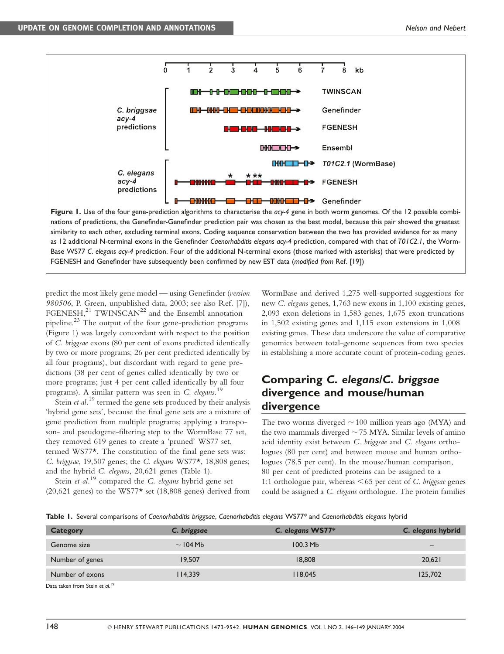

nations of predictions, the Genefinder-Genefinder prediction pair was chosen as the best model, because this pair showed the greatest similarity to each other, excluding terminal exons. Coding sequence conservation between the two has provided evidence for as many as 12 additional N-terminal exons in the Genefinder Caenorhabditis elegans acy-4 prediction, compared with that of T01C2.1, the Worm-Base WS77 C. elegans acy-4 prediction. Four of the additional N-terminal exons (those marked with asterisks) that were predicted by FGENESH and Genefinder have subsequently been confirmed by new EST data (modified from Ref. [19])

predict the most likely gene model — using Genefinder (version 980506, P. Green, unpublished data, 2003; see also Ref. [7]), FGENESH, $^{21}$  TWINSCAN<sup>22</sup> and the Ensembl annotation pipeline.<sup>23</sup> The output of the four gene-prediction programs (Figure 1) was largely concordant with respect to the position of C. briggsae exons (80 per cent of exons predicted identically by two or more programs; 26 per cent predicted identically by all four programs), but discordant with regard to gene predictions (38 per cent of genes called identically by two or more programs; just 4 per cent called identically by all four programs). A similar pattern was seen in C. elegans.<sup>19</sup>

Stein *et al.*<sup>19</sup> termed the gene sets produced by their analysis 'hybrid gene sets', because the final gene sets are a mixture of gene prediction from multiple programs; applying a transposon- and pseudogene-filtering step to the WormBase 77 set, they removed 619 genes to create a 'pruned' WS77 set, termed WS77\*. The constitution of the final gene sets was: C. briggsae, 19,507 genes; the C. elegans WS77\*, 18,808 genes; and the hybrid C. elegans, 20,621 genes (Table 1).

Stein et al.<sup>19</sup> compared the C. elegans hybrid gene set (20,621 genes) to the WS77 $\star$  set (18,808 genes) derived from WormBase and derived 1,275 well-supported suggestions for new C. elegans genes, 1,763 new exons in 1,100 existing genes, 2,093 exon deletions in 1,583 genes, 1,675 exon truncations in 1,502 existing genes and 1,115 exon extensions in 1,008 existing genes. These data underscore the value of comparative genomics between total-genome sequences from two species in establishing a more accurate count of protein-coding genes.

# Comparing C. elegans/C. briggsae divergence and mouse/human divergence

The two worms diverged  $\sim$  100 million years ago (MYA) and the two mammals diverged  $\sim$  75 MYA. Similar levels of amino acid identity exist between C. briggsae and C. elegans orthologues (80 per cent) and between mouse and human orthologues (78.5 per cent). In the mouse/human comparison, 80 per cent of predicted proteins can be assigned to a 1:1 orthologue pair, whereas  $\leq 65$  per cent of C. briggsae genes could be assigned a C. elegans orthologue. The protein families

|  |  | Table 1. Several comparisons of Caenorhabditis briggsae, Caenorhabditis elegans WS77* and Caenorhabditis elegans hybrid |  |  |  |  |  |
|--|--|-------------------------------------------------------------------------------------------------------------------------|--|--|--|--|--|
|--|--|-------------------------------------------------------------------------------------------------------------------------|--|--|--|--|--|

| Category                                   | C. briggsae   | C. elegans WS77* | C. elegans hybrid |
|--------------------------------------------|---------------|------------------|-------------------|
| Genome size                                | $\sim$ 104 Mb | $100.3$ Mb       | –                 |
| Number of genes                            | 19.507        | 18,808           | 20,621            |
| Number of exons                            | 114.339       | 118,045          | 125,702           |
| Data taken from Stein et al. <sup>19</sup> |               |                  |                   |